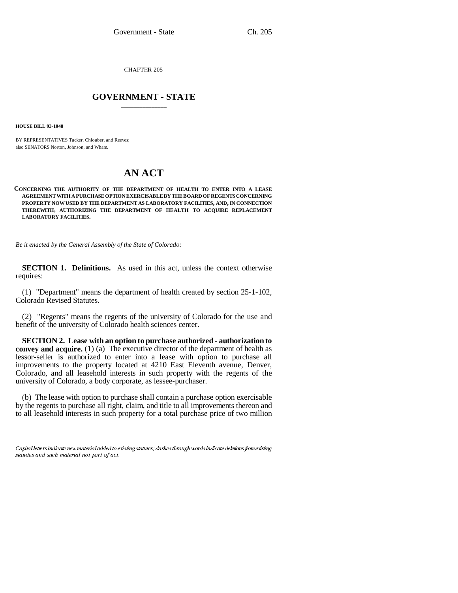CHAPTER 205

## \_\_\_\_\_\_\_\_\_\_\_\_\_\_\_ **GOVERNMENT - STATE** \_\_\_\_\_\_\_\_\_\_\_\_\_\_\_

**HOUSE BILL 93-1048**

BY REPRESENTATIVES Tucker, Chlouber, and Reeves; also SENATORS Norton, Johnson, and Wham.

## **AN ACT**

## **CONCERNING THE AUTHORITY OF THE DEPARTMENT OF HEALTH TO ENTER INTO A LEASE AGREEMENT WITH A PURCHASE OPTION EXERCISABLE BY THE BOARD OF REGENTS CONCERNING PROPERTY NOW USED BY THE DEPARTMENT AS LABORATORY FACILITIES, AND, IN CONNECTION THEREWITH, AUTHORIZING THE DEPARTMENT OF HEALTH TO ACQUIRE REPLACEMENT LABORATORY FACILITIES.**

*Be it enacted by the General Assembly of the State of Colorado:*

**SECTION 1. Definitions.** As used in this act, unless the context otherwise requires:

(1) "Department" means the department of health created by section 25-1-102, Colorado Revised Statutes.

(2) "Regents" means the regents of the university of Colorado for the use and benefit of the university of Colorado health sciences center.

university of Colorado, a body corporate, as lessee-purchaser. **SECTION 2. Lease with an option to purchase authorized - authorization to convey and acquire.** (1) (a) The executive director of the department of health as lessor-seller is authorized to enter into a lease with option to purchase all improvements to the property located at 4210 East Eleventh avenue, Denver, Colorado, and all leasehold interests in such property with the regents of the

(b) The lease with option to purchase shall contain a purchase option exercisable by the regents to purchase all right, claim, and title to all improvements thereon and to all leasehold interests in such property for a total purchase price of two million

Capital letters indicate new material added to existing statutes; dashes through words indicate deletions from existing statutes and such material not part of act.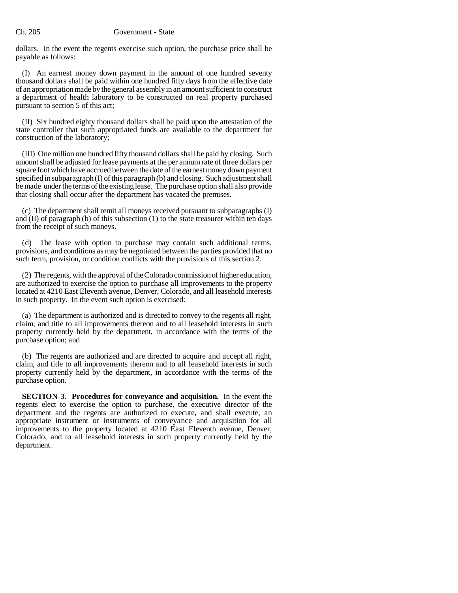dollars. In the event the regents exercise such option, the purchase price shall be payable as follows:

(I) An earnest money down payment in the amount of one hundred seventy thousand dollars shall be paid within one hundred fifty days from the effective date of an appropriation made by the general assembly in an amount sufficient to construct a department of health laboratory to be constructed on real property purchased pursuant to section 5 of this act;

(II) Six hundred eighty thousand dollars shall be paid upon the attestation of the state controller that such appropriated funds are available to the department for construction of the laboratory;

(III) One million one hundred fifty thousand dollars shall be paid by closing. Such amount shall be adjusted for lease payments at the per annum rate of three dollars per square foot which have accrued between the date of the earnest money down payment specified in subparagraph (I) of this paragraph (b) and closing. Such adjustment shall be made under the terms of the existing lease. The purchase option shall also provide that closing shall occur after the department has vacated the premises.

(c) The department shall remit all moneys received pursuant to subparagraphs (I) and (II) of paragraph (b) of this subsection (1) to the state treasurer within ten days from the receipt of such moneys.

(d) The lease with option to purchase may contain such additional terms, provisions, and conditions as may be negotiated between the parties provided that no such term, provision, or condition conflicts with the provisions of this section 2.

(2) The regents, with the approval of the Colorado commission of higher education, are authorized to exercise the option to purchase all improvements to the property located at 4210 East Eleventh avenue, Denver, Colorado, and all leasehold interests in such property. In the event such option is exercised:

(a) The department is authorized and is directed to convey to the regents all right, claim, and title to all improvements thereon and to all leasehold interests in such property currently held by the department, in accordance with the terms of the purchase option; and

(b) The regents are authorized and are directed to acquire and accept all right, claim, and title to all improvements thereon and to all leasehold interests in such property currently held by the department, in accordance with the terms of the purchase option.

**SECTION 3. Procedures for conveyance and acquisition.** In the event the regents elect to exercise the option to purchase, the executive director of the department and the regents are authorized to execute, and shall execute, an appropriate instrument or instruments of conveyance and acquisition for all improvements to the property located at 4210 East Eleventh avenue, Denver, Colorado, and to all leasehold interests in such property currently held by the department.